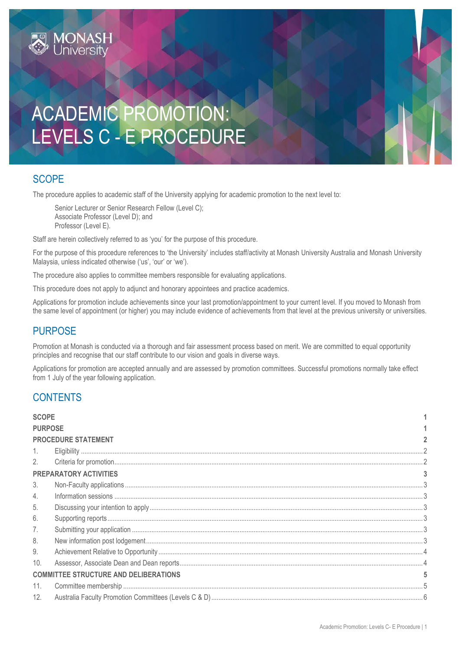# ACADEMIC PROMOTION: LEVELS C - E PROCEDURE

# <span id="page-0-0"></span>**SCOPE**

The procedure applies to academic staff of the University applying for academic promotion to the next level to:

Senior Lecturer or Senior Research Fellow (Level C); Associate Professor (Level D); and Professor (Level E).

Staff are herein collectively referred to as 'you' for the purpose of this procedure.

For the purpose of this procedure references to 'the University' includes staff/activity at Monash University Australia and Monash University Malaysia, unless indicated otherwise ('us', 'our' or 'we').

The procedure also applies to committee members responsible for evaluating applications.

This procedure does not apply to adjunct and honorary appointees and practice academics.

Applications for promotion include achievements since your last promotion/appointment to your current level. If you moved to Monash from the same level of appointment (or higher) you may include evidence of achievements from that level at the previous university or universities.

## <span id="page-0-1"></span>**PURPOSE**

Promotion at Monash is conducted via a thorough and fair assessment process based on merit. We are committed to equal opportunity principles and recognise that our staff contribute to our vision and goals in diverse ways.

Applications for promotion are accepted annually and are assessed by promotion committees. Successful promotions normally take effect from 1 July of the year following application.

## **CONTENTS**

| <b>SCOPE</b>     |                                              |  |  |
|------------------|----------------------------------------------|--|--|
|                  | <b>PURPOSE</b>                               |  |  |
|                  | <b>PROCEDURE STATEMENT</b>                   |  |  |
|                  |                                              |  |  |
| 2.               |                                              |  |  |
|                  | <b>PREPARATORY ACTIVITIES</b>                |  |  |
| 3.               |                                              |  |  |
| $\overline{4}$ . |                                              |  |  |
| 5.               |                                              |  |  |
| 6.               |                                              |  |  |
| 7.               |                                              |  |  |
| 8.               |                                              |  |  |
| 9.               |                                              |  |  |
| 10.              |                                              |  |  |
|                  | <b>COMMITTEE STRUCTURE AND DELIBERATIONS</b> |  |  |
| 11.              |                                              |  |  |
| 12.              |                                              |  |  |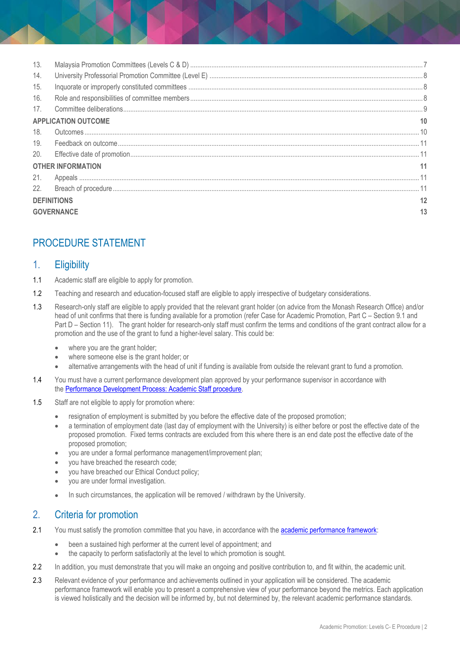| 13.                      |                            |    |
|--------------------------|----------------------------|----|
| 14.                      |                            |    |
| 15.                      |                            |    |
| 16.                      |                            |    |
| 17.                      |                            |    |
|                          | <b>APPLICATION OUTCOME</b> |    |
| 18.                      |                            |    |
| 19.                      |                            |    |
| 20.                      |                            |    |
| <b>OTHER INFORMATION</b> |                            |    |
| 21.                      |                            |    |
| 22.                      |                            |    |
| <b>DEFINITIONS</b>       |                            | 12 |
| <b>GOVERNANCE</b>        |                            | 13 |

# <span id="page-1-0"></span>PROCEDURE STATEMENT

### <span id="page-1-1"></span>1. Eligibility

- 1.1 Academic staff are eligible to apply for promotion.
- 1.2 Teaching and research and education-focused staff are eligible to apply irrespective of budgetary considerations.
- 1.3 Research-only staff are eligible to apply provided that the relevant grant holder (on advice from the Monash Research Office) and/or head of unit confirms that there is funding available for a promotion (refer Case for Academic Promotion, Part C – Section 9.1 and Part D – Section 11). The grant holder for research-only staff must confirm the terms and conditions of the grant contract allow for a promotion and the use of the grant to fund a higher-level salary. This could be:
	- where you are the grant holder;
	- where someone else is the grant holder; or
	- alternative arrangements with the head of unit if funding is available from outside the relevant grant to fund a promotion.
- 1.4 You must have a current performance development plan approved by your performance supervisor in accordance with the [Performance Development Process: Academic Staff procedure.](https://publicpolicydms.monash.edu/Monash/documents/1935710)
- 1.5 Staff are not eligible to apply for promotion where:
	- resignation of employment is submitted by you before the effective date of the proposed promotion;
	- a termination of employment date (last day of employment with the University) is either before or post the effective date of the proposed promotion. Fixed terms contracts are excluded from this where there is an end date post the effective date of the proposed promotion;
	- you are under a formal performance management/improvement plan;
	- you have breached the research code;
	- you have breached our Ethical Conduct policy;
	- you are under formal investigation.
	- In such circumstances, the application will be removed / withdrawn by the University.

## <span id="page-1-2"></span>2. Criteria for promotion

- 2.1 You must satisfy the promotion committee that you have, in accordance with th[e academic performance framework:](https://www.monash.edu/academicpromotion/academic-performance-framework)
	- been a sustained high performer at the current level of appointment; and
	- the capacity to perform satisfactorily at the level to which promotion is sought.
- 2.2 In addition, you must demonstrate that you will make an ongoing and positive contribution to, and fit within, the academic unit.
- 2.3 Relevant evidence of your performance and achievements outlined in your application will be considered. The academic performance framework will enable you to present a comprehensive view of your performance beyond the metrics. Each application is viewed holistically and the decision will be informed by, but not determined by, the relevant academic performance standards.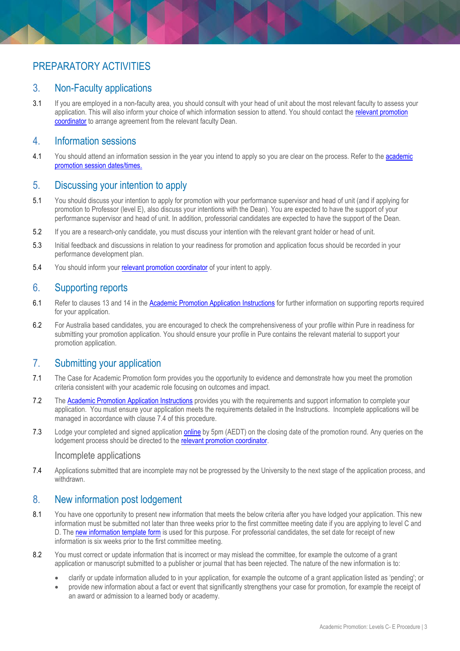## <span id="page-2-1"></span><span id="page-2-0"></span>3. Non-Faculty applications

3.1 If you are employed in a non-faculty area, you should consult with your head of unit about the most relevant faculty to assess your application. This will also inform your choice of which information session to attend. You should contact the relevant promotion [coordinator](https://www.monash.edu/academicpromotion/contact-us) to arrange agreement from the relevant faculty Dean.

#### <span id="page-2-2"></span>4. Information sessions

4.1 You should attend an information session in the year you intend to apply so you are clear on the process. Refer to the [academic](https://www.monash.edu/academicpromotion/key-dates)  [promotion session dates/times.](https://www.monash.edu/academicpromotion/key-dates)

## <span id="page-2-3"></span>5. Discussing your intention to apply

- 5.1 You should discuss your intention to apply for promotion with your performance supervisor and head of unit (and if applying for promotion to Professor (level E), also discuss your intentions with the Dean). You are expected to have the support of your performance supervisor and head of unit. In addition, professorial candidates are expected to have the support of the Dean.
- 5.2 If you are a research-only candidate, you must discuss your intention with the relevant grant holder or head of unit.
- 5.3 Initial feedback and discussions in relation to your readiness for promotion and application focus should be recorded in your performance development plan.
- 5.4 You should inform your relevant [promotion coordinator](https://www.monash.edu/academicpromotion/contact-us) of your intent to apply.

## <span id="page-2-4"></span>6. Supporting reports

- 6.1 Refer to clauses 13 and 14 in the [Academic Promotion Application Instructions](https://www.monash.edu/__data/assets/pdf_file/0005/2661980/Academic-Promotion-Application-Instructions.pdf) for further information on supporting reports required for your application.
- 6.2 For Australia based candidates, you are encouraged to check the comprehensiveness of your profile within Pure in readiness for submitting your promotion application. You should ensure your profile in Pure contains the relevant material to support your promotion application.

#### <span id="page-2-5"></span>7. Submitting your application

- 7.1 The Case for Academic Promotion form provides you the opportunity to evidence and demonstrate how you meet the promotion criteria consistent with your academic role focusing on outcomes and impact.
- 7.2 Th[e Academic Promotion Application Instructions](https://www.monash.edu/__data/assets/pdf_file/0005/2661980/Academic-Promotion-Application-Instructions.pdf) provides you with the requirements and support information to complete your application. You must ensure your application meets the requirements detailed in the Instructions. Incomplete applications will be managed in accordance with clause 7.4 of this procedure.
- 7.3 Lodge your completed and signed application [online](https://www.monash.edu/academicpromotion/how-to-apply) by 5pm (AEDT) on the closing date of the promotion round. Any queries on the lodgement process should be directed to the relevant [promotion coordinator.](https://www.monash.edu/academicpromotion/contact-us)

#### Incomplete applications

7.4 Applications submitted that are incomplete may not be progressed by the University to the next stage of the application process, and withdrawn.

#### <span id="page-2-6"></span>8. New information post lodgement

- 8.1 You have one opportunity to present new information that meets the below criteria after you have lodged your application. This new information must be submitted not later than three weeks prior to the first committee meeting date if you are applying to level C and D. The [new information template form](https://www.monash.edu/__data/assets/word_doc/0010/813943/FORM-TEMPLATE-New-Information.docx) is used for this purpose. For professorial candidates, the set date for receipt of new information is six weeks prior to the first committee meeting.
- 8.2 You must correct or update information that is incorrect or may mislead the committee, for example the outcome of a grant application or manuscript submitted to a publisher or journal that has been rejected. The nature of the new information is to:
	- clarify or update information alluded to in your application, for example the outcome of a grant application listed as 'pending'; or
	- provide new information about a fact or event that significantly strengthens your case for promotion, for example the receipt of an award or admission to a learned body or academy.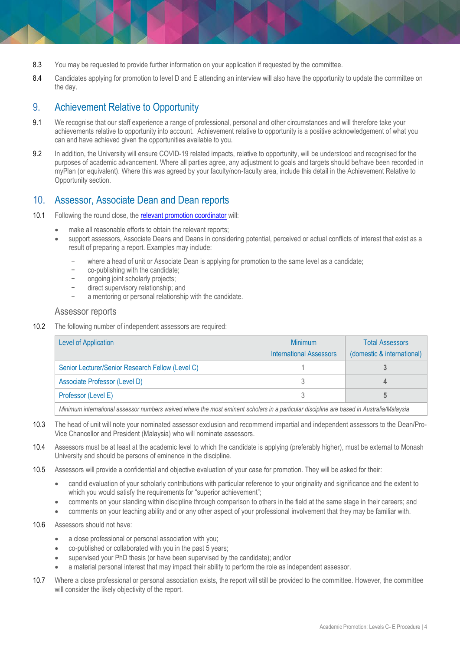- 8.3 You may be requested to provide further information on your application if requested by the committee.
- 8.4 Candidates applying for promotion to level D and E attending an interview will also have the opportunity to update the committee on the day.

### <span id="page-3-0"></span>9. Achievement Relative to Opportunity

- 9.1 We recognise that our staff experience a range of professional, personal and other circumstances and will therefore take your achievements relative to opportunity into account. Achievement relative to opportunity is a positive acknowledgement of what you can and have achieved given the opportunities available to you.
- 9.2 In addition, the University will ensure COVID-19 related impacts, relative to opportunity, will be understood and recognised for the purposes of academic advancement. Where all parties agree, any adjustment to goals and targets should be/have been recorded in myPlan (or equivalent). Where this was agreed by your faculty/non-faculty area, include this detail in the Achievement Relative to Opportunity section.

### <span id="page-3-1"></span>10. Assessor, Associate Dean and Dean reports

- 10.1 Following the round close, the [relevant promotion coordinator](https://www.monash.edu/academicpromotion/contact-us) will:
	- make all reasonable efforts to obtain the relevant reports;
		- support assessors, Associate Deans and Deans in considering potential, perceived or actual conflicts of interest that exist as a result of preparing a report. Examples may include:
			- where a head of unit or Associate Dean is applying for promotion to the same level as a candidate;
			- − co-publishing with the candidate;
			- − ongoing joint scholarly projects;
			- − direct supervisory relationship; and
			- a mentoring or personal relationship with the candidate.

#### Assessor reports

10.2 The following number of independent assessors are required:

| <b>Minimum</b>                 | <b>Total Assessors</b>     |
|--------------------------------|----------------------------|
| <b>International Assessors</b> | (domestic & international) |
|                                |                            |
|                                |                            |
|                                |                            |
|                                |                            |

*Minimum international assessor numbers waived where the most eminent scholars in a particular discipline are based in Australia/Malaysia*

- 10.3 The head of unit will note your nominated assessor exclusion and recommend impartial and independent assessors to the Dean/Pro-Vice Chancellor and President (Malaysia) who will nominate assessors.
- 10.4 Assessors must be at least at the academic level to which the candidate is applying (preferably higher), must be external to Monash University and should be persons of eminence in the discipline.
- 10.5 Assessors will provide a confidential and objective evaluation of your case for promotion. They will be asked for their:
	- candid evaluation of your scholarly contributions with particular reference to your originality and significance and the extent to which you would satisfy the requirements for "superior achievement";
	- comments on your standing within discipline through comparison to others in the field at the same stage in their careers; and
	- comments on your teaching ability and or any other aspect of your professional involvement that they may be familiar with.
- 10.6 Assessors should not have:
	- a close professional or personal association with you;
	- co-published or collaborated with you in the past 5 years;
	- supervised your PhD thesis (or have been supervised by the candidate); and/or
	- a material personal interest that may impact their ability to perform the role as independent assessor.
- 10.7 Where a close professional or personal association exists, the report will still be provided to the committee. However, the committee will consider the likely objectivity of the report.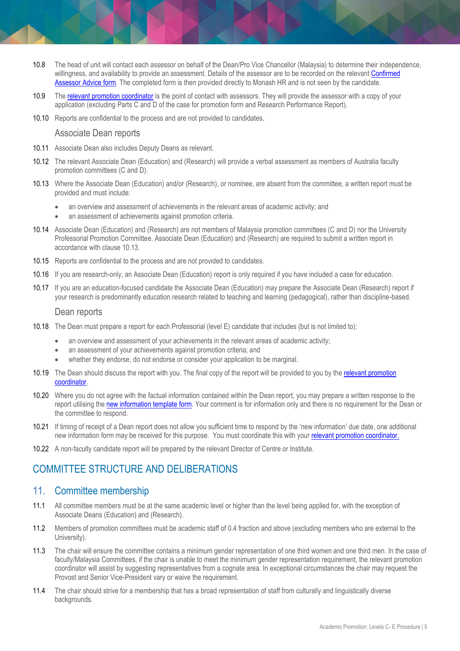- 10.8 The head of unit will contact each assessor on behalf of the Dean/Pro Vice Chancellor (Malaysia) to determine their independence, willingness, and availability to provide an assessment. Details of the assessor are to be recorded on the relevant Confirmed [Assessor Advice form.](https://www.monash.edu/academicpromotion/forms,-procedures-and-guides#Forms-1) The completed form is then provided directly to Monash HR and is not seen by the candidate.
- 10.9 Th[e relevant promotion coordinator](https://www.monash.edu/academicpromotion/contact-us) is the point of contact with assessors. They will provide the assessor with a copy of your application (excluding Parts C and D of the case for promotion form and Research Performance Report).
- 10.10 Reports are confidential to the process and are not provided to candidates.

#### Associate Dean reports

- 10.11 Associate Dean also includes Deputy Deans as relevant.
- 10.12 The relevant Associate Dean (Education) and (Research) will provide a verbal assessment as members of Australia faculty promotion committees (C and D).
- 10.13 Where the Associate Dean (Education) and/or (Research), or nominee, are absent from the committee, a written report must be provided and must include:
	- an overview and assessment of achievements in the relevant areas of academic activity; and
	- an assessment of achievements against promotion criteria.
- 10.14 Associate Dean (Education) and (Research) are not members of Malaysia promotion committees (C and D) nor the University Professorial Promotion Committee. Associate Dean (Education) and (Research) are required to submit a written report in accordance with clause 10.13.
- 10.15 Reports are confidential to the process and are not provided to candidates.
- 10.16 If you are research-only, an Associate Dean (Education) report is only required if you have included a case for education.
- 10.17 If you are an education-focused candidate the Associate Dean (Education) may prepare the Associate Dean (Research) report if your research is predominantly education research related to teaching and learning (pedagogical), rather than discipline-based.

#### Dean reports

- 10.18 The Dean must prepare a report for each Professorial (level E) candidate that includes (but is not limited to):
	- an overview and assessment of your achievements in the relevant areas of academic activity;
	- an assessment of your achievements against promotion criteria; and
	- whether they endorse, do not endorse or consider your application to be marginal.
- 10.19 The Dean should discuss the report with you. The final copy of the report will be provided to you by the [relevant promotion](https://www.monash.edu/academicpromotion/contact-us)  [coordinator.](https://www.monash.edu/academicpromotion/contact-us)
- 10.20 Where you do not agree with the factual information contained within the Dean report, you may prepare a written response to the report utilising the [new information template form.](https://www.monash.edu/__data/assets/word_doc/0010/813943/FORM-TEMPLATE-New-Information.docx) Your comment is for information only and there is no requirement for the Dean or the committee to respond.
- 10.21 If timing of receipt of a Dean report does not allow you sufficient time to respond by the 'new information' due date, one additional new information form may be received for this purpose. You must coordinate this with your [relevant promotion coordinator.](https://www.monash.edu/academicpromotion/contact-us)
- 10.22 A non-faculty candidate report will be prepared by the relevant Director of Centre or Institute.

## <span id="page-4-0"></span>COMMITTEE STRUCTURE AND DELIBERATIONS

#### <span id="page-4-1"></span>11. Committee membership

- 11.1 All committee members must be at the same academic level or higher than the level being applied for, with the exception of Associate Deans (Education) and (Research).
- 11.2 Members of promotion committees must be academic staff of 0.4 fraction and above (excluding members who are external to the University).
- 11.3 The chair will ensure the committee contains a minimum gender representation of one third women and one third men. In the case of faculty/Malaysia Committees, if the chair is unable to meet the minimum gender representation requirement, the [relevant promotion](https://www.monash.edu/academicpromotion/contact-us)  [coordinator](https://www.monash.edu/academicpromotion/contact-us) will assist by suggesting representatives from a cognate area. In exceptional circumstances the chair may request the Provost and Senior Vice-President vary or waive the requirement.
- 11.4 The chair should strive for a membership that has a broad representation of staff from culturally and linguistically diverse backgrounds.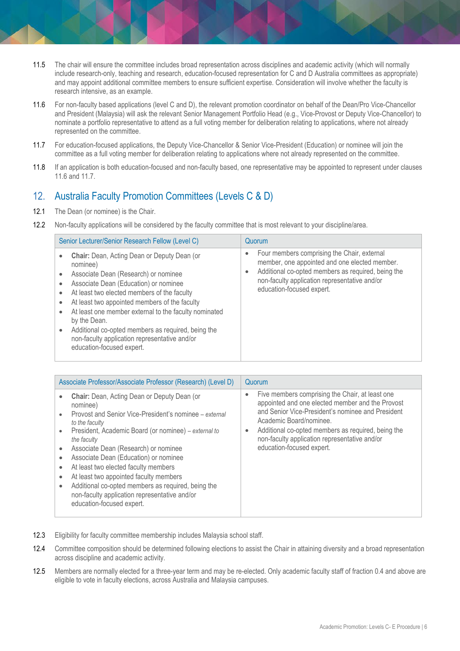- 11.5 The chair will ensure the committee includes broad representation across disciplines and academic activity (which will normally include research-only, teaching and research, education-focused representation for C and D Australia committees as appropriate) and may appoint additional committee members to ensure sufficient expertise. Consideration will involve whether the faculty is research intensive, as an example.
- 11.6 For non-faculty based applications (level C and D), the [relevant promotion coordinator](https://www.monash.edu/academicpromotion/contact-us) on behalf of the Dean/Pro Vice-Chancellor and President (Malaysia) will ask the relevant Senior Management Portfolio Head (e.g., Vice-Provost or Deputy Vice-Chancellor) to nominate a portfolio representative to attend as a full voting member for deliberation relating to applications, where not already represented on the committee.
- 11.7 For education-focused applications, the Deputy Vice-Chancellor & Senior Vice-President (Education) or nominee will join the committee as a full voting member for deliberation relating to applications where not already represented on the committee.
- 11.8 If an application is both education-focused and non-faculty based, one representative may be appointed to represent under clauses 11.6 and 11.7.

## <span id="page-5-0"></span>12. Australia Faculty Promotion Committees (Levels C & D)

- 12.1 The Dean (or nominee) is the Chair.
- 12.2 Non-faculty applications will be considered by the faculty committee that is most relevant to your discipline/area.

| Senior Lecturer/Senior Research Fellow (Level C)                                                                                                                                                                                                                                                                                                                                                                                                                                             | Quorum                                                                                                                                                                                                                           |
|----------------------------------------------------------------------------------------------------------------------------------------------------------------------------------------------------------------------------------------------------------------------------------------------------------------------------------------------------------------------------------------------------------------------------------------------------------------------------------------------|----------------------------------------------------------------------------------------------------------------------------------------------------------------------------------------------------------------------------------|
| Chair: Dean, Acting Dean or Deputy Dean (or<br>$\bullet$<br>nominee)<br>Associate Dean (Research) or nominee<br>Associate Dean (Education) or nominee<br>At least two elected members of the faculty<br>At least two appointed members of the faculty<br>$\bullet$<br>At least one member external to the faculty nominated<br>$\bullet$<br>by the Dean.<br>Additional co-opted members as required, being the<br>non-faculty application representative and/or<br>education-focused expert. | Four members comprising the Chair, external<br>member, one appointed and one elected member.<br>Additional co-opted members as required, being the<br>non-faculty application representative and/or<br>education-focused expert. |

| Associate Professor/Associate Professor (Research) (Level D)                                                                                                                                                                                                                                                                                                                                                                                                                                                                                                                                   | Quorum                                                                                                                                                                                                                                                                                                                               |
|------------------------------------------------------------------------------------------------------------------------------------------------------------------------------------------------------------------------------------------------------------------------------------------------------------------------------------------------------------------------------------------------------------------------------------------------------------------------------------------------------------------------------------------------------------------------------------------------|--------------------------------------------------------------------------------------------------------------------------------------------------------------------------------------------------------------------------------------------------------------------------------------------------------------------------------------|
| <b>Chair:</b> Dean, Acting Dean or Deputy Dean (or<br>nominee)<br>Provost and Senior Vice-President's nominee – external<br>$\bullet$<br>to the faculty<br>President, Academic Board (or nominee) – external to<br>$\bullet$<br>the faculty<br>Associate Dean (Research) or nominee<br>Associate Dean (Education) or nominee<br>۰<br>At least two elected faculty members<br>$\bullet$<br>At least two appointed faculty members<br>$\bullet$<br>Additional co-opted members as required, being the<br>$\bullet$<br>non-faculty application representative and/or<br>education-focused expert. | Five members comprising the Chair, at least one<br>appointed and one elected member and the Provost<br>and Senior Vice-President's nominee and President<br>Academic Board/nominee.<br>Additional co-opted members as required, being the<br>$\bullet$<br>non-faculty application representative and/or<br>education-focused expert. |

- 12.3 Eligibility for faculty committee membership includes Malaysia school staff.
- 12.4 Committee composition should be determined following elections to assist the Chair in attaining diversity and a broad representation across discipline and academic activity.
- 12.5 Members are normally elected for a three-year term and may be re-elected. Only academic faculty staff of fraction 0.4 and above are eligible to vote in faculty elections, across Australia and Malaysia campuses.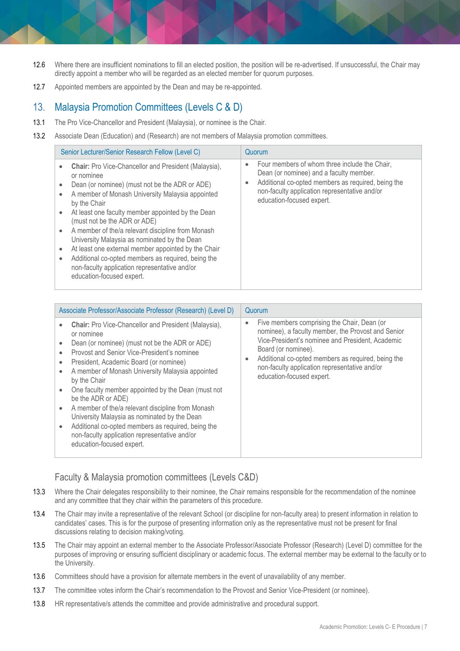- 12.6 Where there are insufficient nominations to fill an elected position, the position will be re-advertised. If unsuccessful, the Chair may directly appoint a member who will be regarded as an elected member for quorum purposes.
- 12.7 Appointed members are appointed by the Dean and may be re-appointed.

### <span id="page-6-0"></span>13. Malaysia Promotion Committees (Levels C & D)

- 13.1 The Pro Vice-Chancellor and President (Malaysia), or nominee is the Chair.
- 13.2 Associate Dean (Education) and (Research) are not members of Malaysia promotion committees.

| Senior Lecturer/Senior Research Fellow (Level C)                                                                                                                                                                                                                                                                                                                                                                                                                                                                                                                                                               | Quorum                                                                                                                                                                                                                                    |
|----------------------------------------------------------------------------------------------------------------------------------------------------------------------------------------------------------------------------------------------------------------------------------------------------------------------------------------------------------------------------------------------------------------------------------------------------------------------------------------------------------------------------------------------------------------------------------------------------------------|-------------------------------------------------------------------------------------------------------------------------------------------------------------------------------------------------------------------------------------------|
| <b>Chair:</b> Pro Vice-Chancellor and President (Malaysia),<br>or nominee<br>Dean (or nominee) (must not be the ADR or ADE)<br>A member of Monash University Malaysia appointed<br>$\bullet$<br>by the Chair<br>At least one faculty member appointed by the Dean<br>(must not be the ADR or ADE)<br>A member of the/a relevant discipline from Monash<br>University Malaysia as nominated by the Dean<br>At least one external member appointed by the Chair<br>Additional co-opted members as required, being the<br>$\bullet$<br>non-faculty application representative and/or<br>education-focused expert. | Four members of whom three include the Chair,<br>$\bullet$<br>Dean (or nominee) and a faculty member.<br>Additional co-opted members as required, being the<br>non-faculty application representative and/or<br>education-focused expert. |

| Associate Professor/Associate Professor (Research) (Level D)                                                                                                                                                                                                                                                                                                                                                                                                                                                                                                                                                                                                      | Quorum                                                                                                                                                                                                                                                                                                                                     |
|-------------------------------------------------------------------------------------------------------------------------------------------------------------------------------------------------------------------------------------------------------------------------------------------------------------------------------------------------------------------------------------------------------------------------------------------------------------------------------------------------------------------------------------------------------------------------------------------------------------------------------------------------------------------|--------------------------------------------------------------------------------------------------------------------------------------------------------------------------------------------------------------------------------------------------------------------------------------------------------------------------------------------|
| <b>Chair:</b> Pro Vice-Chancellor and President (Malaysia),<br>$\bullet$<br>or nominee<br>Dean (or nominee) (must not be the ADR or ADE)<br>Provost and Senior Vice-President's nominee<br>President, Academic Board (or nominee)<br>A member of Monash University Malaysia appointed<br>by the Chair<br>One faculty member appointed by the Dean (must not<br>$\bullet$<br>be the ADR or ADE)<br>A member of the/a relevant discipline from Monash<br>$\bullet$<br>University Malaysia as nominated by the Dean<br>Additional co-opted members as required, being the<br>$\bullet$<br>non-faculty application representative and/or<br>education-focused expert. | Five members comprising the Chair, Dean (or<br>$\bullet$<br>nominee), a faculty member, the Provost and Senior<br>Vice-President's nominee and President, Academic<br>Board (or nominee).<br>Additional co-opted members as required, being the<br>$\bullet$<br>non-faculty application representative and/or<br>education-focused expert. |

## Faculty & Malaysia promotion committees (Levels C&D)

- 13.3 Where the Chair delegates responsibility to their nominee, the Chair remains responsible for the recommendation of the nominee and any committee that they chair within the parameters of this procedure.
- 13.4 The Chair may invite a representative of the relevant School (or discipline for non-faculty area) to present information in relation to candidates' cases. This is for the purpose of presenting information only as the representative must not be present for final discussions relating to decision making/voting.
- 13.5 The Chair may appoint an external member to the Associate Professor/Associate Professor (Research) (Level D) committee for the purposes of improving or ensuring sufficient disciplinary or academic focus. The external member may be external to the faculty or to the University.
- 13.6 Committees should have a provision for alternate members in the event of unavailability of any member.
- 13.7 The committee votes inform the Chair's recommendation to the Provost and Senior Vice-President (or nominee).
- 13.8 HR representative/s attends the committee and provide administrative and procedural support.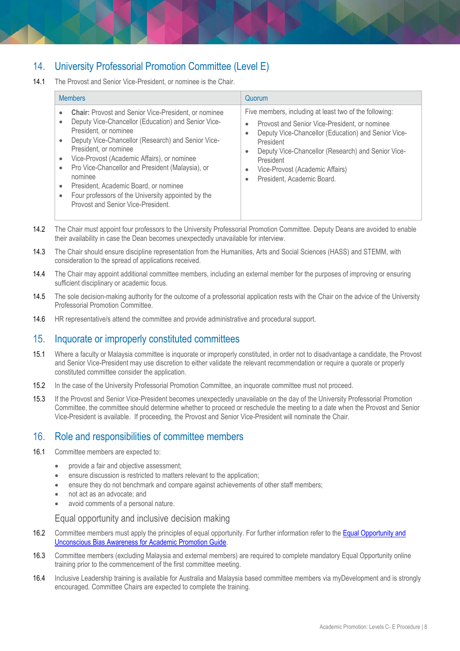## <span id="page-7-0"></span>14. University Professorial Promotion Committee (Level E)

14.1 The Provost and Senior Vice-President, or nominee is the Chair.

| <b>Members</b>                                                                                                                                                                                                                                                                                                                                                                                                                                                                                                                                                           | Quorum                                                                                                                                                                                                                                                                                                                                    |
|--------------------------------------------------------------------------------------------------------------------------------------------------------------------------------------------------------------------------------------------------------------------------------------------------------------------------------------------------------------------------------------------------------------------------------------------------------------------------------------------------------------------------------------------------------------------------|-------------------------------------------------------------------------------------------------------------------------------------------------------------------------------------------------------------------------------------------------------------------------------------------------------------------------------------------|
| <b>Chair:</b> Provost and Senior Vice-President, or nominee<br>$\bullet$<br>Deputy Vice-Chancellor (Education) and Senior Vice-<br>$\bullet$<br>President, or nominee<br>Deputy Vice-Chancellor (Research) and Senior Vice-<br>$\bullet$<br>President, or nominee<br>Vice-Provost (Academic Affairs), or nominee<br>$\bullet$<br>Pro Vice-Chancellor and President (Malaysia), or<br>$\bullet$<br>nominee<br>President, Academic Board, or nominee<br>$\bullet$<br>Four professors of the University appointed by the<br>$\bullet$<br>Provost and Senior Vice-President. | Five members, including at least two of the following:<br>Provost and Senior Vice-President, or nominee<br>$\bullet$<br>Deputy Vice-Chancellor (Education) and Senior Vice-<br>President<br>Deputy Vice-Chancellor (Research) and Senior Vice-<br>President<br>Vice-Provost (Academic Affairs)<br>$\bullet$<br>President, Academic Board. |

- 14.2 The Chair must appoint four professors to the University Professorial Promotion Committee. Deputy Deans are avoided to enable their availability in case the Dean becomes unexpectedly unavailable for interview.
- 14.3 The Chair should ensure discipline representation from the Humanities, Arts and Social Sciences (HASS) and STEMM, with consideration to the spread of applications received.
- 14.4 The Chair may appoint additional committee members, including an external member for the purposes of improving or ensuring sufficient disciplinary or academic focus.
- 14.5 The sole decision-making authority for the outcome of a professorial application rests with the Chair on the advice of the University Professorial Promotion Committee.
- 14.6 HR representative/s attend the committee and provide administrative and procedural support.

#### <span id="page-7-1"></span>15. Inquorate or improperly constituted committees

- 15.1 Where a faculty or Malaysia committee is inquorate or improperly constituted, in order not to disadvantage a candidate, the Provost and Senior Vice-President may use discretion to either validate the relevant recommendation or require a quorate or properly constituted committee consider the application.
- 15.2 In the case of the University Professorial Promotion Committee, an inquorate committee must not proceed.
- 15.3 If the Provost and Senior Vice-President becomes unexpectedly unavailable on the day of the University Professorial Promotion Committee, the committee should determine whether to proceed or reschedule the meeting to a date when the Provost and Senior Vice-President is available. If proceeding, the Provost and Senior Vice-President will nominate the Chair.

#### <span id="page-7-2"></span>16. Role and responsibilities of committee members

- 16.1 Committee members are expected to:
	- provide a fair and objective assessment;
	- ensure discussion is restricted to matters relevant to the application;
	- ensure they do not benchmark and compare against achievements of other staff members;
	- not act as an advocate; and
	- avoid comments of a personal nature.

Equal opportunity and inclusive decision making

- 16.2 Committee members must apply the principles of equal opportunity. For further information refer to the Equal Opportunity and [Unconscious Bias Awareness for Academic Promotion](https://www.monash.edu/__data/assets/pdf_file/0005/1024835/Equal-opportunity-in-academic-promotion.pdf) Guide.
- 16.3 Committee members (excluding Malaysia and external members) are required to complete mandator[y Equal Opportunity online](https://monash.csod.com/samldefault.aspx?ReturnUrl=%252fDeepLink%252fProcessRedirect.aspx%253fmodule%253dlodetails%2526lo%253d85fa01d5-01e2-4541-8ecd-1a0af205af30)  [training](https://monash.csod.com/samldefault.aspx?ReturnUrl=%252fDeepLink%252fProcessRedirect.aspx%253fmodule%253dlodetails%2526lo%253d85fa01d5-01e2-4541-8ecd-1a0af205af30) prior to the commencement of the first committee meeting.
- 16.4 Inclusive Leadership training is available for Australia and Malaysia based committee members via myDevelopment and is strongly encouraged. Committee Chairs are expected to complete the training.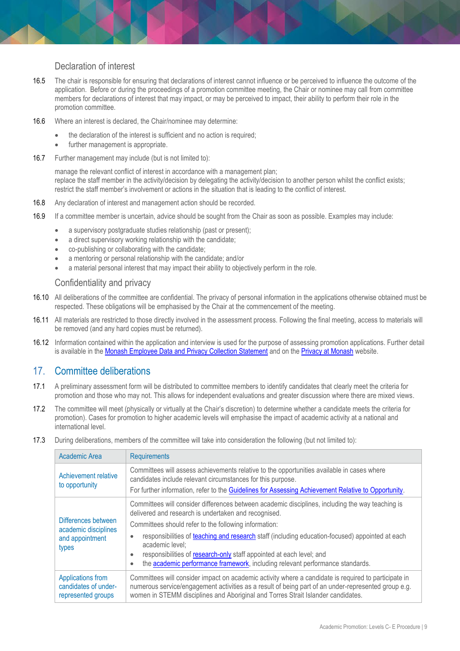#### Declaration of interest

- 16.5 The chair is responsible for ensuring that declarations of interest cannot influence or be perceived to influence the outcome of the application. Before or during the proceedings of a promotion committee meeting, the Chair or nominee may call from committee members for declarations of interest that may impact, or may be perceived to impact, their ability to perform their role in the promotion committee.
- 16.6 Where an interest is declared, the Chair/nominee may determine:
	- the declaration of the interest is sufficient and no action is required;
	- further management is appropriate.
- 16.7 Further management may include (but is not limited to):

manage the relevant conflict of interest in accordance with a management plan; replace the staff member in the activity/decision by delegating the activity/decision to another person whilst the conflict exists; restrict the staff member's involvement or actions in the situation that is leading to the conflict of interest.

- 16.8 Any declaration of interest and management action should be recorded.
- 16.9 If a committee member is uncertain, advice should be sought from the Chair as soon as possible. Examples may include:
	- a supervisory postgraduate studies relationship (past or present);
	- a direct supervisory working relationship with the candidate;
	- co-publishing or collaborating with the candidate;
	- a mentoring or personal relationship with the candidate; and/or
	- a material personal interest that may impact their ability to objectively perform in the role.

#### Confidentiality and privacy

- 16.10 All deliberations of the committee are confidential. The privacy of personal information in the applications otherwise obtained must be respected. These obligations will be emphasised by the Chair at the commencement of the meeting.
- 16.11 All materials are restricted to those directly involved in the assessment process. Following the final meeting, access to materials will be removed (and any hard copies must be returned).
- 16.12 Information contained within the application and interview is used for the purpose of assessing promotion applications. Further detail is available in the Monash Employee Data and [Privacy Collection Statement](https://www.monash.edu/__data/assets/pdf_file/0008/1595267/Employee-Data-Protection-and-Privacy-Collection-Statement.pdf) and on the [Privacy at Monash](https://www.monash.edu/privacy-monash) website.

#### <span id="page-8-0"></span>17. Committee deliberations

- 17.1 A preliminary assessment form will be distributed to committee members to identify candidates that clearly meet the criteria for promotion and those who may not. This allows for independent evaluations and greater discussion where there are mixed views.
- 17.2 The committee will meet (physically or virtually at the Chair's discretion) to determine whether a candidate meets the criteria for promotion). Cases for promotion to higher academic levels will emphasise the impact of academic activity at a national and international level.
- 17.3 During deliberations, members of the committee will take into consideration the following (but not limited to):

| Academic Area                                                           | <b>Requirements</b>                                                                                                                                                                                                                                                                                                                                                                                                                                                                                                                     |
|-------------------------------------------------------------------------|-----------------------------------------------------------------------------------------------------------------------------------------------------------------------------------------------------------------------------------------------------------------------------------------------------------------------------------------------------------------------------------------------------------------------------------------------------------------------------------------------------------------------------------------|
| Achievement relative<br>to opportunity                                  | Committees will assess achievements relative to the opportunities available in cases where<br>candidates include relevant circumstances for this purpose.<br>For further information, refer to the Guidelines for Assessing Achievement Relative to Opportunity.                                                                                                                                                                                                                                                                        |
| Differences between<br>academic disciplines<br>and appointment<br>types | Committees will consider differences between academic disciplines, including the way teaching is<br>delivered and research is undertaken and recognised.<br>Committees should refer to the following information:<br>responsibilities of teaching and research staff (including education-focused) appointed at each<br>$\bullet$<br>academic level:<br>responsibilities of research-only staff appointed at each level; and<br>$\bullet$<br>the academic performance framework, including relevant performance standards.<br>$\bullet$ |
| Applications from<br>candidates of under-<br>represented groups         | Committees will consider impact on academic activity where a candidate is required to participate in<br>numerous service/engagement activities as a result of being part of an under-represented group e.g.<br>women in STEMM disciplines and Aboriginal and Torres Strait Islander candidates.                                                                                                                                                                                                                                         |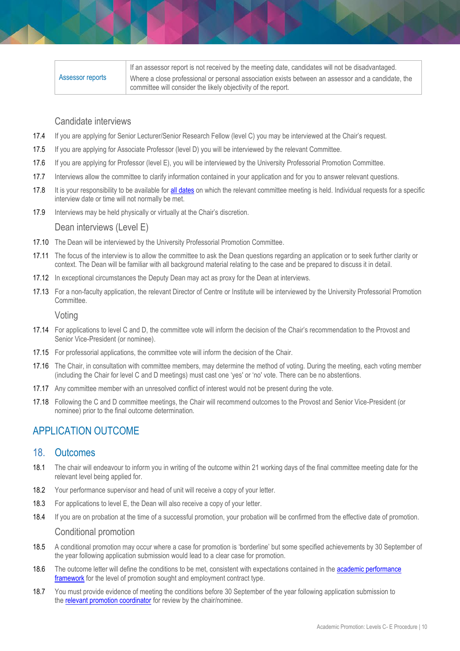|                  | If an assessor report is not received by the meeting date, candidates will not be disadvantaged.   |
|------------------|----------------------------------------------------------------------------------------------------|
| Assessor reports | Where a close professional or personal association exists between an assessor and a candidate, the |
|                  | committee will consider the likely objectivity of the report.                                      |

#### Candidate interviews

- 17.4 If you are applying for Senior Lecturer/Senior Research Fellow (level C) you may be interviewed at the Chair's request.
- 17.5 If you are applying for Associate Professor (level D) you will be interviewed by the relevant Committee.
- 17.6 If you are applying for Professor (level E), you will be interviewed by the University Professorial Promotion Committee.
- 17.7 Interviews allow the committee to clarify information contained in your application and for you to answer relevant questions.
- 17.8 It is your responsibility to be available for [all dates](https://www.monash.edu/academicpromotion/key-dates) on which the relevant committee meeting is held. Individual requests for a specific interview date or time will not normally be met.
- 17.9 Interviews may be held physically or virtually at the Chair's discretion.

#### Dean interviews (Level E)

- 17.10 The Dean will be interviewed by the University Professorial Promotion Committee.
- 17.11 The focus of the interview is to allow the committee to ask the Dean questions regarding an application or to seek further clarity or context. The Dean will be familiar with all background material relating to the case and be prepared to discuss it in detail.
- 17.12 In exceptional circumstances the Deputy Dean may act as proxy for the Dean at interviews.
- 17.13 For a non-faculty application, the relevant Director of Centre or Institute will be interviewed by the University Professorial Promotion Committee.

#### Voting

- 17.14 For applications to level C and D, the committee vote will inform the decision of the Chair's recommendation to the Provost and Senior Vice-President (or nominee).
- 17.15 For professorial applications, the committee vote will inform the decision of the Chair.
- 17.16 The Chair, in consultation with committee members, may determine the method of voting. During the meeting, each voting member (including the Chair for level C and D meetings) must cast one 'yes' or 'no' vote. There can be no abstentions.
- 17.17 Any committee member with an unresolved conflict of interest would not be present during the vote.
- 17.18 Following the C and D committee meetings, the Chair will recommend outcomes to the Provost and Senior Vice-President (or nominee) prior to the final outcome determination.

## <span id="page-9-0"></span>APPLICATION OUTCOME

#### <span id="page-9-1"></span>18. Outcomes

- 18.1 The chair will endeavour to inform you in writing of the outcome within 21 working days of the final committee meeting date for the relevant level being applied for.
- 18.2 Your performance supervisor and head of unit will receive a copy of your letter.
- 18.3 For applications to level E, the Dean will also receive a copy of your letter.
- 18.4 If you are on probation at the time of a successful promotion, your probation will be confirmed from the effective date of promotion.

#### Conditional promotion

- 18.5 A conditional promotion may occur where a case for promotion is 'borderline' but some specified achievements by 30 September of the year following application submission would lead to a clear case for promotion.
- 18.6 The outcome letter will define the conditions to be met, consistent with expectations contained in the academic performance [framework](https://www.monash.edu/academicpromotion/academic-performance-framework) for the level of promotion sought and employment contract type.
- 18.7 You must provide evidence of meeting the conditions before 30 September of the year following application submission to the [relevant promotion coordinator](https://www.monash.edu/academicpromotion/contact-us) for review by the chair/nominee.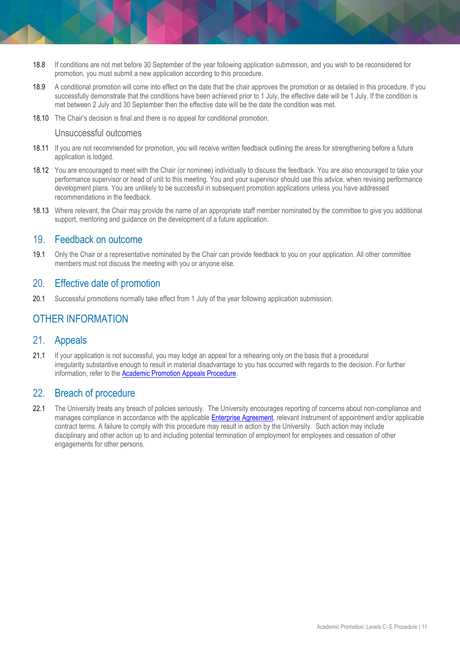- 18.8 If conditions are not met before 30 September of the year following application submission, and you wish to be reconsidered for promotion, you must submit a new application according to this procedure.
- 18.9 A conditional promotion will come into effect on the date that the chair approves the promotion or as detailed in this procedure. If you successfully demonstrate that the conditions have been achieved prior to 1 July, the effective date will be 1 July. If the condition is met between 2 July and 30 September then the effective date will be the date the condition was met.
- 18.10 The Chair's decision is final and there is no appeal for conditional promotion.

#### Unsuccessful outcomes

- 18.11 If you are not recommended for promotion, you will receive written feedback outlining the areas for strengthening before a future application is lodged.
- 18.12 You are encouraged to meet with the Chair (or nominee) individually to discuss the feedback. You are also encouraged to take your performance supervisor or head of unit to this meeting. You and your supervisor should use this advice, when revising performance development plans. You are unlikely to be successful in subsequent promotion applications unless you have addressed recommendations in the feedback.
- 18.13 Where relevant, the Chair may provide the name of an appropriate staff member nominated by the committee to give you additional support, mentoring and guidance on the development of a future application.

#### <span id="page-10-0"></span>19. Feedback on outcome

19.1 Only the Chair or a representative nominated by the Chair can provide feedback to you on your application. All other committee members must not discuss the meeting with you or anyone else.

#### <span id="page-10-1"></span>20. Effective date of promotion

20.1 Successful promotions normally take effect from 1 July of the year following application submission.

## <span id="page-10-2"></span>OTHER INFORMATION

#### <span id="page-10-3"></span>21. Appeals

21.1 If your application is not successful, you may lodge an appeal for a rehearing only on the basis that a procedural irregularity substantive enough to result in material disadvantage to you has occurred with regards to the decision. For further information, refer to the [Academic Promotion Appeals Procedure.](https://www.monash.edu/__data/assets/pdf_file/0016/810043/Academic-Promotion-Rehearing.pdf)

#### <span id="page-10-4"></span>22. Breach of procedure

22.1 The University treats any breach of policies seriously. The University encourages reporting of concerns about non-compliance and manages compliance in accordance with the applicable [Enterprise Agreement,](https://www.monash.edu/current-enterprise-agreements) relevant instrument of appointment and/or applicable contract terms. A failure to comply with this procedure may result in action by the University. Such action may include disciplinary and other action up to and including potential termination of employment for employees and cessation of other engagements for other persons.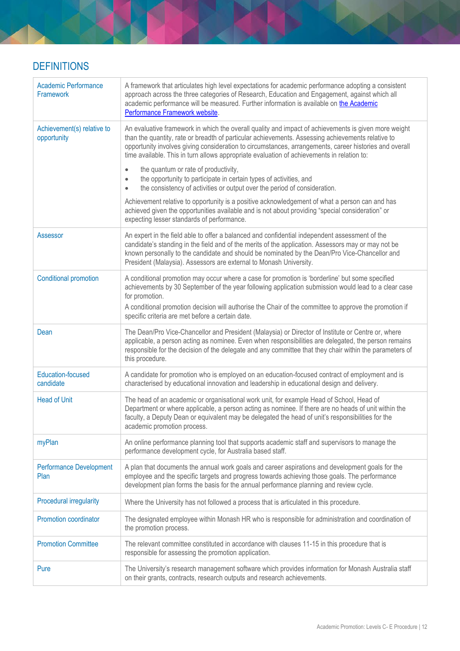# <span id="page-11-0"></span>**DEFINITIONS**

| <b>Academic Performance</b><br>Framework  | A framework that articulates high level expectations for academic performance adopting a consistent<br>approach across the three categories of Research, Education and Engagement, against which all<br>academic performance will be measured. Further information is available on the Academic<br>Performance Framework website.                                                                                 |
|-------------------------------------------|-------------------------------------------------------------------------------------------------------------------------------------------------------------------------------------------------------------------------------------------------------------------------------------------------------------------------------------------------------------------------------------------------------------------|
| Achievement(s) relative to<br>opportunity | An evaluative framework in which the overall quality and impact of achievements is given more weight<br>than the quantity, rate or breadth of particular achievements. Assessing achievements relative to<br>opportunity involves giving consideration to circumstances, arrangements, career histories and overall<br>time available. This in turn allows appropriate evaluation of achievements in relation to: |
|                                           | the quantum or rate of productivity,<br>$\bullet$<br>the opportunity to participate in certain types of activities, and<br>$\bullet$<br>the consistency of activities or output over the period of consideration.<br>$\bullet$                                                                                                                                                                                    |
|                                           | Achievement relative to opportunity is a positive acknowledgement of what a person can and has<br>achieved given the opportunities available and is not about providing "special consideration" or<br>expecting lesser standards of performance.                                                                                                                                                                  |
| Assessor                                  | An expert in the field able to offer a balanced and confidential independent assessment of the<br>candidate's standing in the field and of the merits of the application. Assessors may or may not be<br>known personally to the candidate and should be nominated by the Dean/Pro Vice-Chancellor and<br>President (Malaysia). Assessors are external to Monash University.                                      |
| <b>Conditional promotion</b>              | A conditional promotion may occur where a case for promotion is 'borderline' but some specified<br>achievements by 30 September of the year following application submission would lead to a clear case<br>for promotion.<br>A conditional promotion decision will authorise the Chair of the committee to approve the promotion if<br>specific criteria are met before a certain date.                           |
| Dean                                      | The Dean/Pro Vice-Chancellor and President (Malaysia) or Director of Institute or Centre or, where<br>applicable, a person acting as nominee. Even when responsibilities are delegated, the person remains<br>responsible for the decision of the delegate and any committee that they chair within the parameters of<br>this procedure.                                                                          |
| <b>Education-focused</b><br>candidate     | A candidate for promotion who is employed on an education-focused contract of employment and is<br>characterised by educational innovation and leadership in educational design and delivery.                                                                                                                                                                                                                     |
| <b>Head of Unit</b>                       | The head of an academic or organisational work unit, for example Head of School, Head of<br>Department or where applicable, a person acting as nominee. If there are no heads of unit within the<br>faculty, a Deputy Dean or equivalent may be delegated the head of unit's responsibilities for the<br>academic promotion process.                                                                              |
| myPlan                                    | An online performance planning tool that supports academic staff and supervisors to manage the<br>performance development cycle, for Australia based staff.                                                                                                                                                                                                                                                       |
| <b>Performance Development</b><br>Plan    | A plan that documents the annual work goals and career aspirations and development goals for the<br>employee and the specific targets and progress towards achieving those goals. The performance<br>development plan forms the basis for the annual performance planning and review cycle.                                                                                                                       |
| <b>Procedural irregularity</b>            | Where the University has not followed a process that is articulated in this procedure.                                                                                                                                                                                                                                                                                                                            |
| Promotion coordinator                     | The designated employee within Monash HR who is responsible for administration and coordination of<br>the promotion process.                                                                                                                                                                                                                                                                                      |
| <b>Promotion Committee</b>                | The relevant committee constituted in accordance with clauses 11-15 in this procedure that is<br>responsible for assessing the promotion application.                                                                                                                                                                                                                                                             |
| Pure                                      | The University's research management software which provides information for Monash Australia staff<br>on their grants, contracts, research outputs and research achievements.                                                                                                                                                                                                                                    |